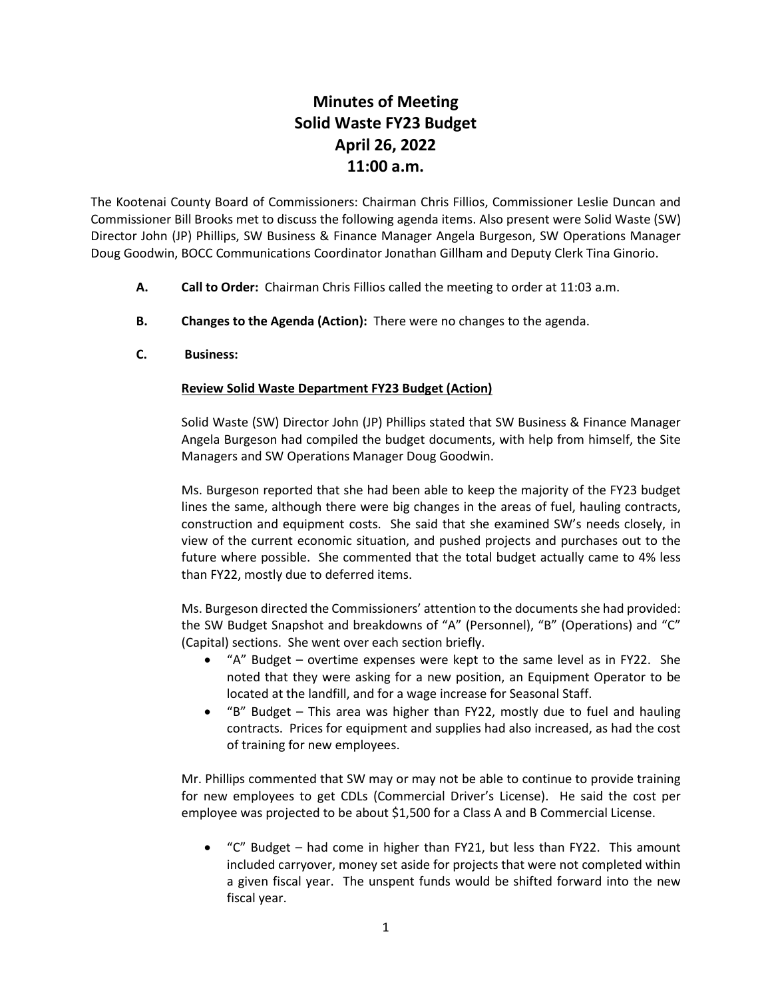## **Minutes of Meeting Solid Waste FY23 Budget April 26, 2022 11:00 a.m.**

The Kootenai County Board of Commissioners: Chairman Chris Fillios, Commissioner Leslie Duncan and Commissioner Bill Brooks met to discuss the following agenda items. Also present were Solid Waste (SW) Director John (JP) Phillips, SW Business & Finance Manager Angela Burgeson, SW Operations Manager Doug Goodwin, BOCC Communications Coordinator Jonathan Gillham and Deputy Clerk Tina Ginorio.

- **A. Call to Order:** Chairman Chris Fillios called the meeting to order at 11:03 a.m.
- **B. Changes to the Agenda (Action):** There were no changes to the agenda.
- **C. Business:**

## **Review Solid Waste Department FY23 Budget (Action)**

Solid Waste (SW) Director John (JP) Phillips stated that SW Business & Finance Manager Angela Burgeson had compiled the budget documents, with help from himself, the Site Managers and SW Operations Manager Doug Goodwin.

Ms. Burgeson reported that she had been able to keep the majority of the FY23 budget lines the same, although there were big changes in the areas of fuel, hauling contracts, construction and equipment costs. She said that she examined SW's needs closely, in view of the current economic situation, and pushed projects and purchases out to the future where possible. She commented that the total budget actually came to 4% less than FY22, mostly due to deferred items.

Ms. Burgeson directed the Commissioners' attention to the documents she had provided: the SW Budget Snapshot and breakdowns of "A" (Personnel), "B" (Operations) and "C" (Capital) sections. She went over each section briefly.

- "A" Budget overtime expenses were kept to the same level as in FY22. She noted that they were asking for a new position, an Equipment Operator to be located at the landfill, and for a wage increase for Seasonal Staff.
- "B" Budget This area was higher than FY22, mostly due to fuel and hauling contracts. Prices for equipment and supplies had also increased, as had the cost of training for new employees.

Mr. Phillips commented that SW may or may not be able to continue to provide training for new employees to get CDLs (Commercial Driver's License). He said the cost per employee was projected to be about \$1,500 for a Class A and B Commercial License.

" $C$ " Budget – had come in higher than FY21, but less than FY22. This amount included carryover, money set aside for projects that were not completed within a given fiscal year. The unspent funds would be shifted forward into the new fiscal year.